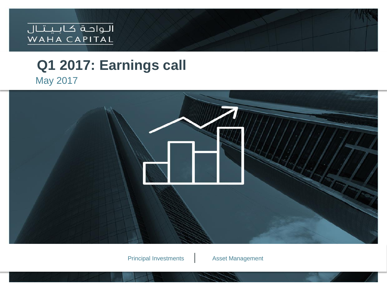

### **Q1 2017: Earnings call** May 2017

Principal Investments | Asset Management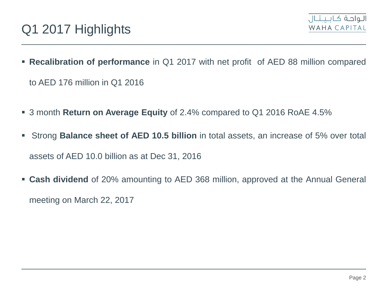

- **Recalibration of performance** in Q1 2017 with net profit of AED 88 million compared to AED 176 million in Q1 2016
- 3 month **Return on Average Equity** of 2.4% compared to Q1 2016 RoAE 4.5%
- Strong **Balance sheet of AED 10.5 billion** in total assets, an increase of 5% over total assets of AED 10.0 billion as at Dec 31, 2016
- **Cash dividend** of 20% amounting to AED 368 million, approved at the Annual General meeting on March 22, 2017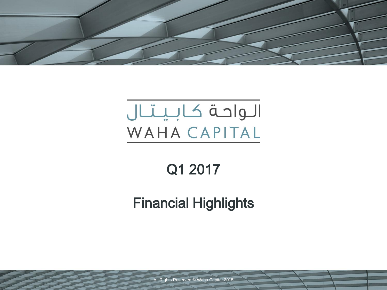

# الواحة كابيتال WAHA CAPITAL

# Q1 2017

## Financial Highlights

All Rights Reserved © Waha Capital 2015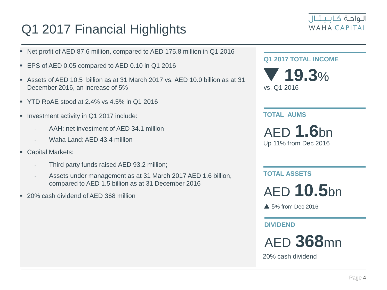### Q1 2017 Financial Highlights



- Net profit of AED 87.6 million, compared to AED 175.8 million in Q1 2016
- EPS of AED 0.05 compared to AED 0.10 in Q1 2016
- Assets of AED 10.5 billion as at 31 March 2017 vs. AED 10.0 billion as at 31 December 2016, an increase of 5%
- YTD RoAE stood at 2.4% vs 4.5% in Q1 2016
- Investment activity in Q1 2017 include:
	- AAH: net investment of AED 34.1 million
	- Waha Land: AED 43.4 million
- Capital Markets:
	- Third party funds raised AED 93.2 million;
	- Assets under management as at 31 March 2017 AED 1.6 billion, compared to AED 1.5 billion as at 31 December 2016
- 20% cash dividend of AED 368 million

**Q1 2017 TOTAL INCOME**

 **19.3**% vs. Q1 2016

#### **TOTAL AUMS**

AED **1.6**bn Up 11% from Dec 2016

**TOTAL ASSETS**

AED **10.5**bn

▲ 5% from Dec 2016

### **DIVIDEND**

AED **368**mn

20% cash dividend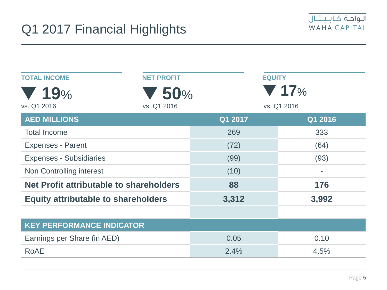

| <b>TOTAL INCOME</b>                        | <b>NET PROFIT</b>  | <b>EQUITY</b> |                                         |
|--------------------------------------------|--------------------|---------------|-----------------------------------------|
| 19%<br>vs. Q1 2016                         | 50%<br>vs. Q1 2016 |               | $\blacktriangledown$ 17%<br>vs. Q1 2016 |
| <b>AED MILLIONS</b>                        |                    | Q1 2017       | Q1 2016                                 |
| <b>Total Income</b>                        |                    | 269           | 333                                     |
| <b>Expenses - Parent</b>                   |                    | (72)          | (64)                                    |
| <b>Expenses - Subsidiaries</b>             |                    | (99)          | (93)                                    |
| Non Controlling interest                   |                    | (10)          | $\blacksquare$                          |
| Net Profit attributable to shareholders    |                    | 88            | 176                                     |
| <b>Equity attributable to shareholders</b> |                    | 3,312         | 3,992                                   |
|                                            |                    |               |                                         |
| <b>KEY PERFORMANCE INDICATOR</b>           |                    |               |                                         |
| Earnings per Share (in AED)                |                    | 0.05          | 0.10                                    |
| <b>RoAE</b>                                |                    | 2.4%          | 4.5%                                    |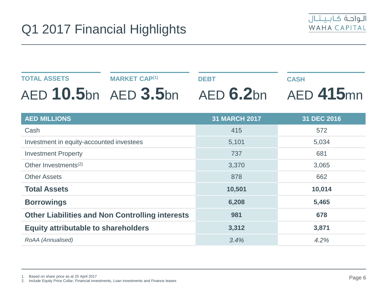

#### **TOTAL ASSETS** AED **10.5**bn AED **3.5**bn AED **6.2**bn AED **415**mn **MARKET CAP(1) DEBT CASH**

| <b>AED MILLIONS</b>                                    | <b>31 MARCH 2017</b> | 31 DEC 2016 |
|--------------------------------------------------------|----------------------|-------------|
| Cash                                                   | 415                  | 572         |
| Investment in equity-accounted investees               | 5,101                | 5,034       |
| <b>Investment Property</b>                             | 737                  | 681         |
| Other Investments <sup>(2)</sup>                       | 3,370                | 3,065       |
| <b>Other Assets</b>                                    | 878                  | 662         |
| <b>Total Assets</b>                                    | 10,501               | 10,014      |
| <b>Borrowings</b>                                      | 6,208                | 5,465       |
| <b>Other Liabilities and Non Controlling interests</b> | 981                  | 678         |
| <b>Equity attributable to shareholders</b>             | 3,312                | 3,871       |
| RoAA (Annualised)                                      | 3.4%                 | 4.2%        |

1. Based on share price as at 25 April 2017

2. Include Equity Price Collar, Financial investments, Loan investments and Finance leases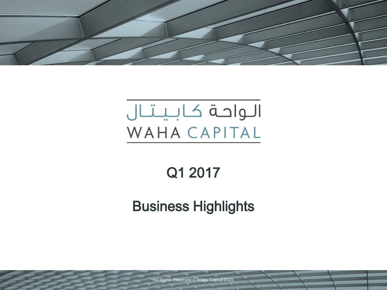

# الواحة كابيتال WAHA CAPITAL

# Q1 2017

## Business Highlights

All Rights Reserved © Waha Capital 2015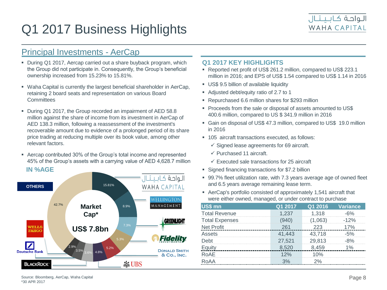

### Principal Investments - AerCap

- During Q1 2017, Aercap carried out a share buyback program, which the Group did not participate in. Consequently, the Group's beneficial ownership increased from 15.23% to 15.81%.
- Waha Capital is currently the largest beneficial shareholder in AerCap, retaining 2 board seats and representation on various Board **Committees**
- During Q1 2017, the Group recorded an impairment of AED 58.8 million against the share of income from its investment in AerCap of AED 138.3 million, following a reassessment of the investment's recoverable amount due to evidence of a prolonged period of its share price trading at reducing multiple over its book value, among other relevant factors.
- Aercap contributed 30% of the Group's total income and represented 45% of the Group's assets with a carrying value of AED 4,628.7 million



#### **Q1 2017 KEY HIGHLIGHTS**

- Reported net profit of US\$ 261.2 million, compared to US\$ 223.1 million in 2016; and EPS of US\$ 1.54 compared to US\$ 1.14 in 2016
- US\$ 9.5 billion of available liquidity
- Adjusted debt/equity ratio of 2.7 to 1
- Repurchased 6.6 million shares for \$293 million
- **Proceeds from the sale or disposal of assets amounted to US\$** 400.6 million, compared to US \$ 341.9 million in 2016
- Gain on disposal of US\$ 47.3 million, compared to US\$ 19.0 million in 2016
- 105 aircraft transactions executed, as follows:
	- $\checkmark$  Signed lease agreements for 69 aircraft.
	- $\checkmark$  Purchased 11 aircraft.
	- $\checkmark$  Executed sale transactions for 25 aircraft
- Signed financing transactions for \$7.2 billion
- 99.7% fleet utilization rate, with 7.3 years average age of owned fleet and 6.5 years average remaining lease term.
- AerCap's portfolio consisted of approximately 1,541 aircraft that were either owned, managed, or under contract to purchase

| US\$ mn               | Q1 2017 | Q1 2016 | <b>Variance</b> |
|-----------------------|---------|---------|-----------------|
| <b>Total Revenue</b>  | 1,237   | 1,318   | $-6%$           |
| <b>Total Expenses</b> | (940)   | (1,063) | $-12%$          |
| <b>Net Profit</b>     | 261     | 223     | 17%             |
| Assets                | 41,443  | 43,718  | $-5%$           |
| Debt                  | 27,521  | 29,813  | $-8%$           |
| Equity                | 8,520   | 8,459   | $1\%$           |
| RoAE                  | 12%     | 10%     |                 |
| RoAA                  | 3%      | 2%      |                 |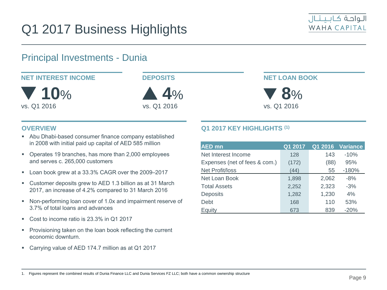

### Principal Investments - Dunia



#### **OVERVIEW**

- Abu Dhabi-based consumer finance company established in 2008 with initial paid up capital of AED 585 million
- Operates 19 branches, has more than 2,000 employees and serves c. 265,000 customers
- Loan book grew at a 33.3% CAGR over the 2009-2017
- Customer deposits grew to AED 1.3 billion as at 31 March 2017, an increase of 4.2% compared to 31 March 2016
- Non-performing loan cover of 1.0x and impairment reserve of 3.7% of total loans and advances
- Cost to income ratio is 23.3% in Q1 2017
- **Provisioning taken on the loan book reflecting the current** economic downturn.
- Carrying value of AED 174.7 million as at Q1 2017

#### **Q1 2017 KEY HIGHLIGHTS (1)**

| <b>AED</b> mn                 | Q1 2017 | Q1 2016 | <b>Variance</b> |
|-------------------------------|---------|---------|-----------------|
| Net Interest Income           | 128     | 143     | $-10%$          |
| Expenses (net of fees & com.) | (172)   | (88)    | 95%             |
| <b>Net Profit/loss</b>        | (44)    | 55      | $-180%$         |
| Net Loan Book                 | 1,898   | 2,062   | $-8%$           |
| <b>Total Assets</b>           | 2,252   | 2,323   | $-3%$           |
| <b>Deposits</b>               | 1,282   | 1,230   | 4%              |
| Debt                          | 168     | 110     | 53%             |
| Equity                        | 673     | 839     | $-20%$          |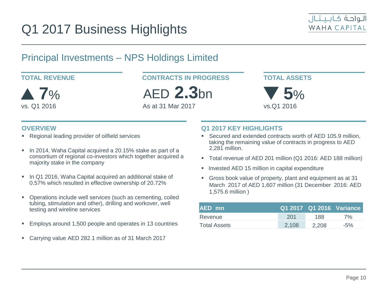

### Principal Investments – NPS Holdings Limited



**TOTAL REVENUE CONTRACTS IN PROGRESS**

AED **2.3**bn

As at 31 Mar 2017

#### **TOTAL ASSETS**



#### **OVERVIEW**

- Regional leading provider of oilfield services
- In 2014, Waha Capital acquired a 20.15% stake as part of a consortium of regional co-investors which together acquired a majority stake in the company
- In Q1 2016, Waha Capital acquired an additional stake of 0.57% which resulted in effective ownership of 20.72%
- Operations include well services (such as cementing, coiled tubing, stimulation and other), drilling and workover, well testing and wireline services
- Employs around 1,500 people and operates in 13 countries
- Carrying value AED 282.1 million as of 31 March 2017

#### **Q1 2017 KEY HIGHLIGHTS**

- Secured and extended contracts worth of AED 105.9 million, taking the remaining value of contracts in progress to AED 2,281 million.
- Total revenue of AED 201 million (Q1 2016: AED 188 million)
- Invested AED 15 million in capital expenditure
- Gross book value of property, plant and equipment as at 31 March 2017 of AED 1,607 million (31 December 2016: AED 1,575.6 million )

| AED mn       |       |       | Q1 2017 Q1 2016 Variance |
|--------------|-------|-------|--------------------------|
| Revenue      | -201  | 188   | 7%                       |
| Total Assets | 2.108 | 2.208 | $-5\%$                   |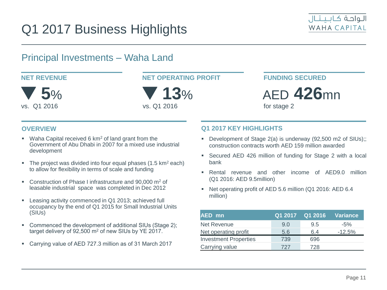

### Principal Investments – Waha Land



**NET REVENUE NET OPERATING PROFIT** 

 **13**% vs. Q1 2016

**FUNDING SECURED**

AED **426**mn

for stage 2

#### **OVERVIEW**

- Waha Capital received 6  $km<sup>2</sup>$  of land grant from the Government of Abu Dhabi in 2007 for a mixed use industrial development
- **The project was divided into four equal phases (1.5 km<sup>2</sup> each)** to allow for flexibility in terms of scale and funding
- Construction of Phase I infrastructure and 90,000 m<sup>2</sup> of leasable industrial space was completed in Dec 2012
- **EXECT:** Leasing activity commenced in Q1 2013; achieved full occupancy by the end of Q1 2015 for Small Industrial Units (SIUs)
- Commenced the development of additional SIUs (Stage 2); target delivery of 92,500 m<sup>2</sup> of new SIUs by YE 2017.
- Carrying value of AED 727.3 million as of 31 March 2017

#### **Q1 2017 KEY HIGHLIGHTS**

- Development of Stage 2(a) is underway (92,500 m2 of SIUs);; construction contracts worth AED 159 million awarded
- Secured AED 426 million of funding for Stage 2 with a local bank
- Rental revenue and other income of AED9.0 million (Q1 2016: AED 9.5million)
- Net operating profit of AED 5.6 million (Q1 2016: AED 6.4 million)

| <b>AED</b> mn                |     | Q1 2017 Q1 2016 | <b>Variance</b> |
|------------------------------|-----|-----------------|-----------------|
| Net Revenue                  | 9.0 | 9.5             | $-5\%$          |
| Net operating profit         | 5.6 | 6.4             | $-12.5%$        |
| <b>Investment Properties</b> | 739 | 696             |                 |
| Carrying value               | 727 | 728             |                 |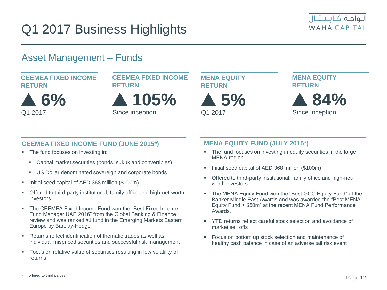

### Asset Management – Funds

#### **CEEMEA FIXED INCOME RETURN**

 **6%** Q1 2017



Since inception



Q1 2017

**MENA EQUITY RETURN**



#### **CEEMEA FIXED INCOME FUND (JUNE 2015\*)**

- The fund focuses on investing in:
	- Capital market securities (bonds, sukuk and convertibles)
	- US Dollar denominated sovereign and corporate bonds
- Initial seed capital of AED 368 million (\$100m)
- Offered to third-party institutional, family office and high-net-worth investors
- The CEEMEA Fixed Income Fund won the "Best Fixed Income Fund Manager UAE 2016" from the Global Banking & Finance review and was ranked #1 fund in the Emerging Markets Eastern Europe by Barclay-Hedge
- Returns reflect identification of thematic trades as well as individual mispriced securities and successful risk management
- **Focus on relative value of securities resulting in low volatility of** returns

#### **MENA EQUITY FUND (JULY 2015\*)**

- The fund focuses on investing in equity securities in the large MENA region
- Initial seed capital of AED 368 million (\$100m)
- Offered to third-party institutional, family office and high-networth investors
- The MENA Equity Fund won the "Best GCC Equity Fund" at the Banker Middle East Awards and was awarded the "Best MENA Equity Fund > \$50m" at the recent MENA Fund Performance Awards.
- YTD returns reflect careful stock selection and avoidance of market sell offs
- Focus on bottom up stock selection and maintenance of healthy cash balance in case of an adverse tail risk event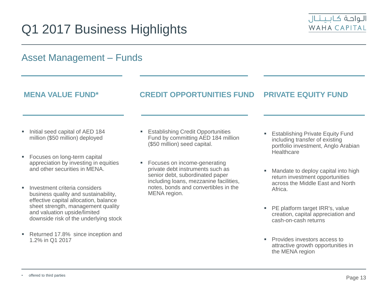

#### Initial seed capital of AED 184 million (\$50 million) deployed **Focuses on long-term capital** appreciation by investing in equities and other securities in MENA. **Investment criteria considers** business quality and sustainability, effective capital allocation, balance sheet strength, management quality and valuation upside/limited downside risk of the underlying stock Asset Management – Funds **MENA VALUE FUND\* CREDIT OPPORTUNITIES FUND PRIVATE EQUITY FUND Establishing Credit Opportunities** Fund by committing AED 184 million (\$50 million) seed capital. **Focuses on income-generating** private debt instruments such as senior debt, subordinated paper including loans, mezzanine facilities, notes, bonds and convertibles in the MENA region. **Establishing Private Equity Fund** including transfer of existing portfolio investment, Anglo Arabian **Healthcare**  Mandate to deploy capital into high return investment opportunities across the Middle East and North Africa. **PE platform target IRR's, value** creation, capital appreciation and cash-on-cash returns

**Provides investors access to** attractive growth opportunities in the MENA region

1.2% in Q1 2017

Returned 17.8% since inception and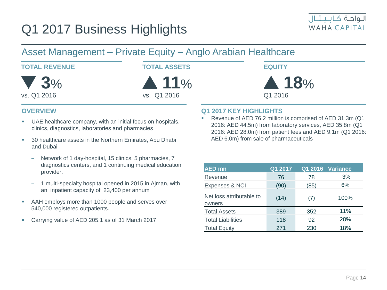

#### Asset Management – Private Equity – Anglo Arabian Healthcare **TOTAL REVENUE TOTAL ASSETS 11**% vs. Q1 2016 **EQUITY 18**% Q1 2016 **3**% vs. Q1 2016

#### **OVERVIEW**

- UAE healthcare company, with an initial focus on hospitals, clinics, diagnostics, laboratories and pharmacies
- <sup>30</sup> healthcare assets in the Northern Emirates, Abu Dhabi and Dubai
	- ‒ Network of 1 day-hospital, 15 clinics, 5 pharmacies, 7 diagnostics centers, and 1 continuing medical education provider.
	- ‒ 1 multi-specialty hospital opened in 2015 in Ajman, with an inpatient capacity of 23,400 per annum
- AAH employs more than 1000 people and serves over 540,000 registered outpatients.
- Carrying value of AED 205.1 as of 31 March 2017

#### **Q1 2017 KEY HIGHLIGHTS**

 Revenue of AED 76.2 million is comprised of AED 31.3m (Q1 2016: AED 44.5m) from laboratory services, AED 35.8m (Q1 2016: AED 28.0m) from patient fees and AED 9.1m (Q1 2016: AED 6.0m) from sale of pharmaceuticals

| <b>AED</b> mn                      | Q1 2017 |      | Q1 2016 Variance |
|------------------------------------|---------|------|------------------|
| Revenue                            | 76      | 78   | $-3%$            |
| <b>Expenses &amp; NCI</b>          | (90)    | (85) | 6%               |
| Net loss attributable to<br>owners | (14)    | (7)  | 100%             |
| <b>Total Assets</b>                | 389     | 352  | 11%              |
| <b>Total Liabilities</b>           | 118     | 92   | 28%              |
| <b>Total Equity</b>                | 271     | 230  | 18%              |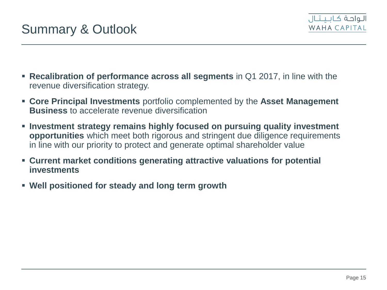

- **Recalibration of performance across all segments** in Q1 2017, in line with the revenue diversification strategy.
- **Core Principal Investments** portfolio complemented by the **Asset Management Business** to accelerate revenue diversification
- **Investment strategy remains highly focused on pursuing quality investment opportunities** which meet both rigorous and stringent due diligence requirements in line with our priority to protect and generate optimal shareholder value
- **Current market conditions generating attractive valuations for potential investments**
- **Well positioned for steady and long term growth**